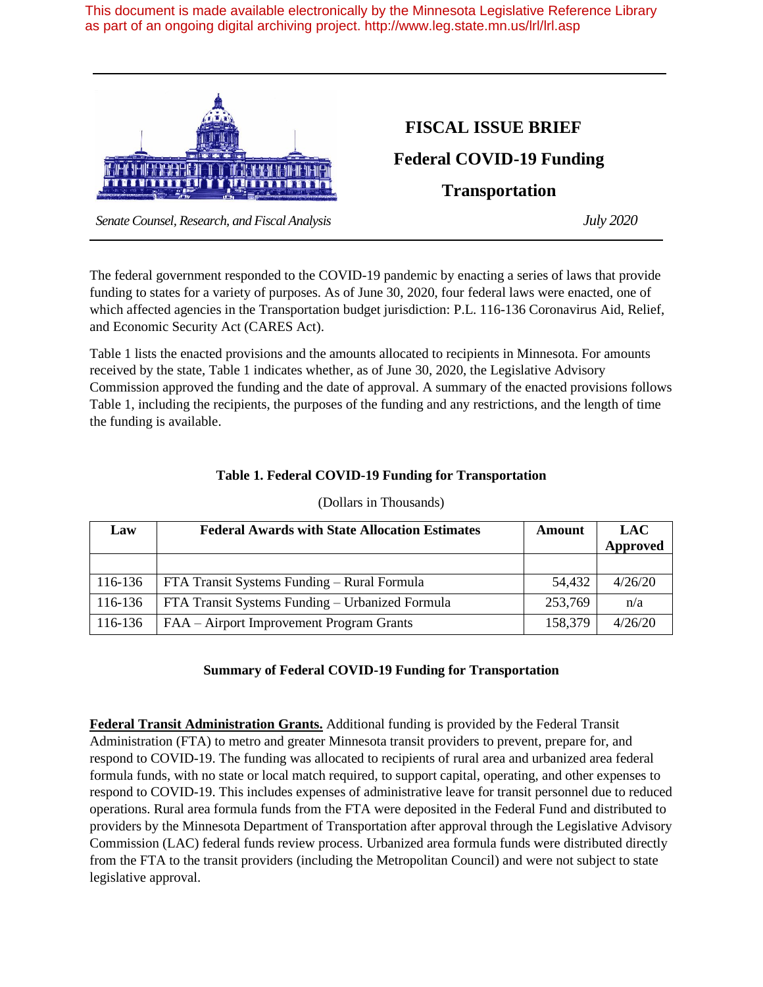This document is made available electronically by the Minnesota Legislative Reference Library as part of an ongoing digital archiving project. http://www.leg.state.mn.us/lrl/lrl.asp



## **FISCAL ISSUE BRIEF**

**Federal COVID-19 Funding**

**Transportation**

 *Senate Counsel, Research, and Fiscal Analysis July 2020*

The federal government responded to the COVID-19 pandemic by enacting a series of laws that provide funding to states for a variety of purposes. As of June 30, 2020, four federal laws were enacted, one of which affected agencies in the Transportation budget jurisdiction: P.L. 116-136 Coronavirus Aid, Relief, and Economic Security Act (CARES Act).

Table 1 lists the enacted provisions and the amounts allocated to recipients in Minnesota. For amounts received by the state, Table 1 indicates whether, as of June 30, 2020, the Legislative Advisory Commission approved the funding and the date of approval. A summary of the enacted provisions follows Table 1, including the recipients, the purposes of the funding and any restrictions, and the length of time the funding is available.

| Law     | <b>Federal Awards with State Allocation Estimates</b> | Amount  | <b>LAC</b><br>Approved |
|---------|-------------------------------------------------------|---------|------------------------|
|         |                                                       |         |                        |
| 116-136 | FTA Transit Systems Funding – Rural Formula           | 54,432  | 4/26/20                |
| 116-136 | FTA Transit Systems Funding – Urbanized Formula       | 253,769 | n/a                    |
| 116-136 | FAA – Airport Improvement Program Grants              | 158,379 | 4/26/20                |

## **Table 1. Federal COVID-19 Funding for Transportation**

(Dollars in Thousands)

## **Summary of Federal COVID-19 Funding for Transportation**

**Federal Transit Administration Grants.** Additional funding is provided by the Federal Transit Administration (FTA) to metro and greater Minnesota transit providers to prevent, prepare for, and respond to COVID-19. The funding was allocated to recipients of rural area and urbanized area federal formula funds, with no state or local match required, to support capital, operating, and other expenses to respond to COVID-19. This includes expenses of administrative leave for transit personnel due to reduced operations. Rural area formula funds from the FTA were deposited in the Federal Fund and distributed to providers by the Minnesota Department of Transportation after approval through the Legislative Advisory Commission (LAC) federal funds review process. Urbanized area formula funds were distributed directly from the FTA to the transit providers (including the Metropolitan Council) and were not subject to state legislative approval.